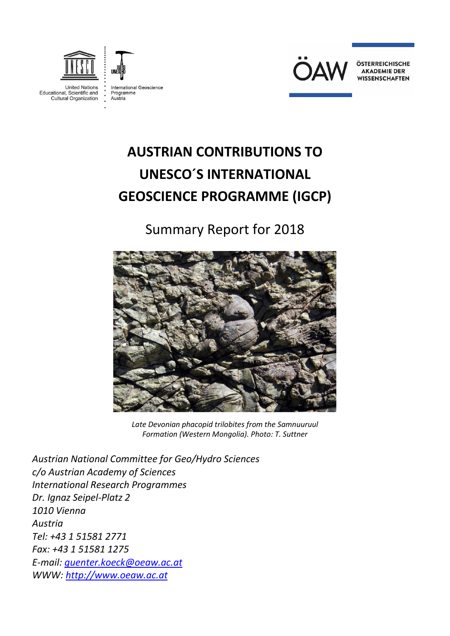



**United Nations** Educational, Scientific and<br>Cultural Organization

International Geoscience Programme<br>Austria



ÖSTERREICHISCHE **AKADEMIE DER WISSENSCHAFTEN** 

# **AUSTRIAN CONTRIBUTIONS TO UNESCO´S INTERNATIONAL GEOSCIENCE PROGRAMME (IGCP)**

# Summary Report for 2018



*Late Devonian phacopid trilobites from the Samnuuruul Formation (Western Mongolia). Photo: T. Suttner*

*Austrian National Committee for Geo/Hydro Sciences c/o Austrian Academy of Sciences International Research Programmes Dr. Ignaz Seipel-Platz 2 1010 Vienna Austria Tel: +43 1 51581 2771 Fax: +43 1 51581 1275 E-mail: [guenter.koeck@oeaw.ac.at](mailto:guenter.koeck@oeaw.ac.at) WWW: [http://www.oeaw.ac.at](http://www.oeaw.ac.at/)*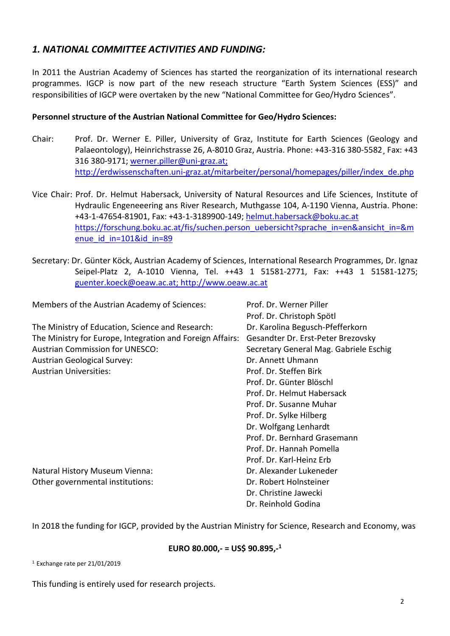## *1. NATIONAL COMMITTEE ACTIVITIES AND FUNDING:*

In 2011 the Austrian Academy of Sciences has started the reorganization of its international research programmes. IGCP is now part of the new reseach structure "Earth System Sciences (ESS)" and responsibilities of IGCP were overtaken by the new "National Committee for Geo/Hydro Sciences".

#### **Personnel structure of the Austrian National Committee for Geo/Hydro Sciences:**

- Chair: Prof. Dr. Werner E. Piller, University of Graz, Institute for Earth Sciences (Geology and Palaeontology), Heinrichstrasse 26, A-8010 Graz, Austria. Phone: +43-316 380-5582¸ Fax: +43 316 380-9171; [werner.piller@uni-graz.at;](file:///C:/Dokumente%20und%20Einstellungen/gkoeck/Lokale%20Einstellungen/Temporary%20Internet%20Files/Content.Outlook/U8HL4X7N/werner.piller@uni-graz.at) http://erdwissenschaften.uni-graz.at/mitarbeiter/personal/homepages/piller/index\_de.php
- Vice Chair: Prof. Dr. Helmut Habersack, University of Natural Resources and Life Sciences, Institute of Hydraulic Engeneeering ans River Research, Muthgasse 104, A-1190 Vienna, Austria. Phone: +43-1-47654-81901, Fax: +43-1-3189900-149; [helmut.habersack@boku.ac.at](mailto:helmut.habersack@boku.ac.at) [https://forschung.boku.ac.at/fis/suchen.person\\_uebersicht?sprache\\_in=en&ansicht\\_in=&m](https://forschung.boku.ac.at/fis/suchen.person_uebersicht?sprache_in=en&ansicht_in=&menue_id_in=101&id_in=89) enue id in=101&id in=89
- Secretary: Dr. Günter Köck, Austrian Academy of Sciences, International Research Programmes, Dr. Ignaz Seipel-Platz 2, A-1010 Vienna, Tel. ++43 1 51581-2771, Fax: ++43 1 51581-1275; [guenter.koeck@oeaw.ac.at;](mailto:guenter.koeck@oeaw.ac.at) [http://www.oeaw.ac.at](http://www.oeaw.ac.at/)

| Members of the Austrian Academy of Sciences:              | Prof. Dr. Werner Piller                |
|-----------------------------------------------------------|----------------------------------------|
|                                                           | Prof. Dr. Christoph Spötl              |
| The Ministry of Education, Science and Research:          | Dr. Karolina Begusch-Pfefferkorn       |
| The Ministry for Europe, Integration and Foreign Affairs: | Gesandter Dr. Erst-Peter Brezovsky     |
| <b>Austrian Commission for UNESCO:</b>                    | Secretary General Mag. Gabriele Eschig |
| <b>Austrian Geological Survey:</b>                        | Dr. Annett Uhmann                      |
| <b>Austrian Universities:</b>                             | Prof. Dr. Steffen Birk                 |
|                                                           | Prof. Dr. Günter Blöschl               |
|                                                           | Prof. Dr. Helmut Habersack             |
|                                                           | Prof. Dr. Susanne Muhar                |
|                                                           | Prof. Dr. Sylke Hilberg                |
|                                                           | Dr. Wolfgang Lenhardt                  |
|                                                           | Prof. Dr. Bernhard Grasemann           |
|                                                           | Prof. Dr. Hannah Pomella               |
|                                                           | Prof. Dr. Karl-Heinz Erb               |
| Natural History Museum Vienna:                            | Dr. Alexander Lukeneder                |
| Other governmental institutions:                          | Dr. Robert Holnsteiner                 |
|                                                           | Dr. Christine Jawecki                  |
|                                                           | Dr. Reinhold Godina                    |

In 2018 the funding for IGCP, provided by the Austrian Ministry for Science, Research and Economy, was

#### **EURO 80.000,- = US\$ 90.895,- 1**

<sup>1</sup> Exchange rate per 21/01/2019

This funding is entirely used for research projects.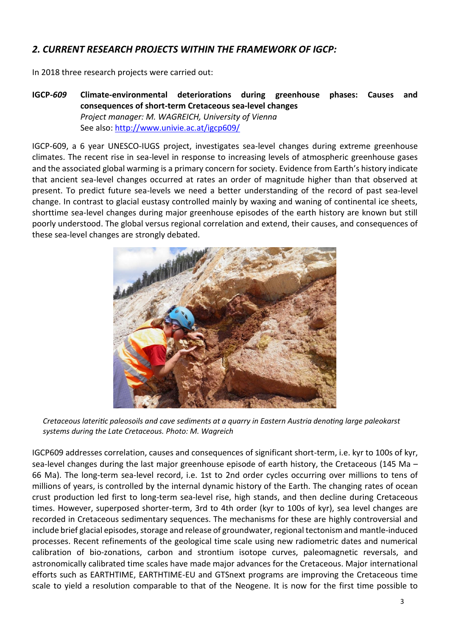# *2. CURRENT RESEARCH PROJECTS WITHIN THE FRAMEWORK OF IGCP:*

In 2018 three research projects were carried out:

**IGCP-***609* **Climate-environmental deteriorations during greenhouse phases: Causes and consequences of short-term Cretaceous sea-level changes** *Project manager: M. WAGREICH, University of Vienna* See also:<http://www.univie.ac.at/igcp609/>

IGCP-609, a 6 year UNESCO-IUGS project, investigates sea-level changes during extreme greenhouse climates. The recent rise in sea-level in response to increasing levels of atmospheric greenhouse gases and the associated global warming is a primary concern for society. Evidence from Earth's history indicate that ancient sea-level changes occurred at rates an order of magnitude higher than that observed at present. To predict future sea-levels we need a better understanding of the record of past sea-level change. In contrast to glacial eustasy controlled mainly by waxing and waning of continental ice sheets, shorttime sea-level changes during major greenhouse episodes of the earth history are known but still poorly understood. The global versus regional correlation and extend, their causes, and consequences of these sea-level changes are strongly debated.



*Cretaceous lateritic paleosoils and cave sediments at a quarry in Eastern Austria denoting large paleokarst systems during the Late Cretaceous. Photo: M. Wagreich*

IGCP609 addresses correlation, causes and consequences of significant short-term, i.e. kyr to 100s of kyr, sea-level changes during the last major greenhouse episode of earth history, the Cretaceous (145 Ma – 66 Ma). The long-term sea-level record, i.e. 1st to 2nd order cycles occurring over millions to tens of millions of years, is controlled by the internal dynamic history of the Earth. The changing rates of ocean crust production led first to long-term sea-level rise, high stands, and then decline during Cretaceous times. However, superposed shorter-term, 3rd to 4th order (kyr to 100s of kyr), sea level changes are recorded in Cretaceous sedimentary sequences. The mechanisms for these are highly controversial and include brief glacial episodes, storage and release of groundwater, regional tectonism and mantle-induced processes. Recent refinements of the geological time scale using new radiometric dates and numerical calibration of bio-zonations, carbon and strontium isotope curves, paleomagnetic reversals, and astronomically calibrated time scales have made major advances for the Cretaceous. Major international efforts such as EARTHTIME, EARTHTIME-EU and GTSnext programs are improving the Cretaceous time scale to yield a resolution comparable to that of the Neogene. It is now for the first time possible to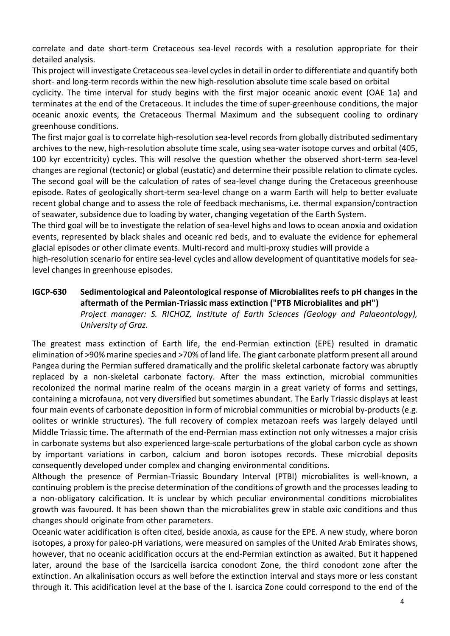correlate and date short-term Cretaceous sea-level records with a resolution appropriate for their detailed analysis.

This project will investigate Cretaceous sea-level cycles in detail in order to differentiate and quantify both short- and long-term records within the new high-resolution absolute time scale based on orbital

cyclicity. The time interval for study begins with the first major oceanic anoxic event (OAE 1a) and terminates at the end of the Cretaceous. It includes the time of super-greenhouse conditions, the major oceanic anoxic events, the Cretaceous Thermal Maximum and the subsequent cooling to ordinary greenhouse conditions.

The first major goal is to correlate high-resolution sea-level records from globally distributed sedimentary archives to the new, high-resolution absolute time scale, using sea-water isotope curves and orbital (405, 100 kyr eccentricity) cycles. This will resolve the question whether the observed short-term sea-level changes are regional (tectonic) or global (eustatic) and determine their possible relation to climate cycles. The second goal will be the calculation of rates of sea-level change during the Cretaceous greenhouse episode. Rates of geologically short-term sea-level change on a warm Earth will help to better evaluate recent global change and to assess the role of feedback mechanisms, i.e. thermal expansion/contraction of seawater, subsidence due to loading by water, changing vegetation of the Earth System.

The third goal will be to investigate the relation of sea-level highs and lows to ocean anoxia and oxidation events, represented by black shales and oceanic red beds, and to evaluate the evidence for ephemeral glacial episodes or other climate events. Multi-record and multi-proxy studies will provide a

high-resolution scenario for entire sea-level cycles and allow development of quantitative models for sealevel changes in greenhouse episodes.

#### **IGCP-630 Sedimentological and Paleontological response of Microbialites reefs to pH changes in the aftermath of the Permian-Triassic mass extinction ("PTB Microbialites and pH")** *Project manager: S. RICHOZ, Institute of Earth Sciences (Geology and Palaeontology), University of Graz.*

The greatest mass extinction of Earth life, the end-Permian extinction (EPE) resulted in dramatic elimination of >90% marine species and >70% of land life. The giant carbonate platform present all around Pangea during the Permian suffered dramatically and the prolific skeletal carbonate factory was abruptly replaced by a non-skeletal carbonate factory. After the mass extinction, microbial communities recolonized the normal marine realm of the oceans margin in a great variety of forms and settings, containing a microfauna, not very diversified but sometimes abundant. The Early Triassic displays at least four main events of carbonate deposition in form of microbial communities or microbial by-products (e.g. oolites or wrinkle structures). The full recovery of complex metazoan reefs was largely delayed until Middle Triassic time. The aftermath of the end-Permian mass extinction not only witnesses a major crisis in carbonate systems but also experienced large-scale perturbations of the global carbon cycle as shown by important variations in carbon, calcium and boron isotopes records. These microbial deposits consequently developed under complex and changing environmental conditions.

Although the presence of Permian-Triassic Boundary Interval (PTBI) microbialites is well-known, a continuing problem is the precise determination of the conditions of growth and the processes leading to a non-obligatory calcification. It is unclear by which peculiar environmental conditions microbialites growth was favoured. It has been shown than the microbialites grew in stable oxic conditions and thus changes should originate from other parameters.

Oceanic water acidification is often cited, beside anoxia, as cause for the EPE. A new study, where boron isotopes, a proxy for paleo-pH variations, were measured on samples of the United Arab Emirates shows, however, that no oceanic acidification occurs at the end-Permian extinction as awaited. But it happened later, around the base of the Isarcicella isarcica conodont Zone, the third conodont zone after the extinction. An alkalinisation occurs as well before the extinction interval and stays more or less constant through it. This acidification level at the base of the I. isarcica Zone could correspond to the end of the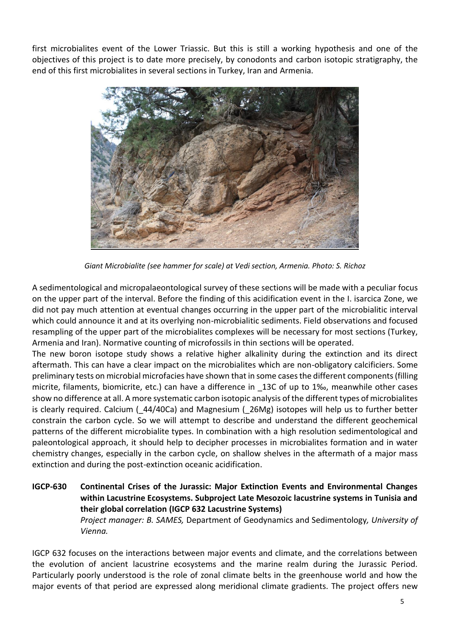first microbialites event of the Lower Triassic. But this is still a working hypothesis and one of the objectives of this project is to date more precisely, by conodonts and carbon isotopic stratigraphy, the end of this first microbialites in several sections in Turkey, Iran and Armenia.



*Giant Microbialite (see hammer for scale) at Vedi section, Armenia. Photo: S. Richoz*

A sedimentological and micropalaeontological survey of these sections will be made with a peculiar focus on the upper part of the interval. Before the finding of this acidification event in the I. isarcica Zone, we did not pay much attention at eventual changes occurring in the upper part of the microbialitic interval which could announce it and at its overlying non-microbialitic sediments. Field observations and focused resampling of the upper part of the microbialites complexes will be necessary for most sections (Turkey, Armenia and Iran). Normative counting of microfossils in thin sections will be operated.

The new boron isotope study shows a relative higher alkalinity during the extinction and its direct aftermath. This can have a clear impact on the microbialites which are non-obligatory calcificiers. Some preliminary tests on microbial microfacies have shown that in some cases the different components (filling micrite, filaments, biomicrite, etc.) can have a difference in \_13C of up to 1‰, meanwhile other cases show no difference at all. A more systematic carbon isotopic analysis of the different types of microbialites is clearly required. Calcium (\_44/40Ca) and Magnesium (\_26Mg) isotopes will help us to further better constrain the carbon cycle. So we will attempt to describe and understand the different geochemical patterns of the different microbialite types. In combination with a high resolution sedimentological and paleontological approach, it should help to decipher processes in microbialites formation and in water chemistry changes, especially in the carbon cycle, on shallow shelves in the aftermath of a major mass extinction and during the post-extinction oceanic acidification.

**IGCP-630 Continental Crises of the Jurassic: Major Extinction Events and Environmental Changes within Lacustrine Ecosystems. Subproject Late Mesozoic lacustrine systems in Tunisia and their global correlation (IGCP 632 Lacustrine Systems)** *Project manager: B. SAMES,* Department of Geodynamics and Sedimentology*, University of Vienna.*

IGCP 632 focuses on the interactions between major events and climate, and the correlations between the evolution of ancient lacustrine ecosystems and the marine realm during the Jurassic Period. Particularly poorly understood is the role of zonal climate belts in the greenhouse world and how the major events of that period are expressed along meridional climate gradients. The project offers new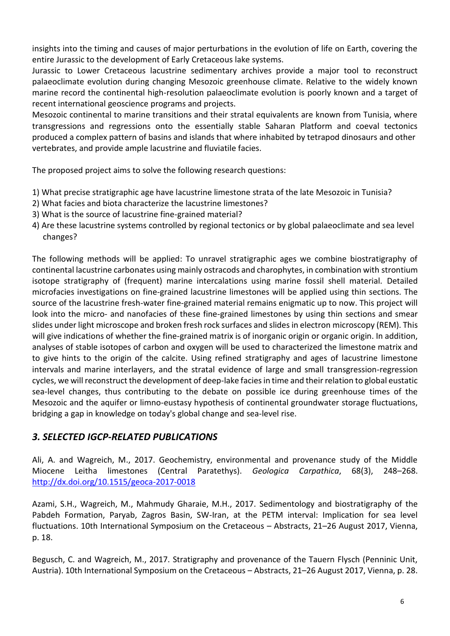insights into the timing and causes of major perturbations in the evolution of life on Earth, covering the entire Jurassic to the development of Early Cretaceous lake systems.

Jurassic to Lower Cretaceous lacustrine sedimentary archives provide a major tool to reconstruct palaeoclimate evolution during changing Mesozoic greenhouse climate. Relative to the widely known marine record the continental high-resolution palaeoclimate evolution is poorly known and a target of recent international geoscience programs and projects.

Mesozoic continental to marine transitions and their stratal equivalents are known from Tunisia, where transgressions and regressions onto the essentially stable Saharan Platform and coeval tectonics produced a complex pattern of basins and islands that where inhabited by tetrapod dinosaurs and other vertebrates, and provide ample lacustrine and fluviatile facies.

The proposed project aims to solve the following research questions:

- 1) What precise stratigraphic age have lacustrine limestone strata of the late Mesozoic in Tunisia?
- 2) What facies and biota characterize the lacustrine limestones?
- 3) What is the source of lacustrine fine-grained material?
- 4) Are these lacustrine systems controlled by regional tectonics or by global palaeoclimate and sea level changes?

The following methods will be applied: To unravel stratigraphic ages we combine biostratigraphy of continental lacustrine carbonates using mainly ostracods and charophytes, in combination with strontium isotope stratigraphy of (frequent) marine intercalations using marine fossil shell material. Detailed microfacies investigations on fine-grained lacustrine limestones will be applied using thin sections. The source of the lacustrine fresh-water fine-grained material remains enigmatic up to now. This project will look into the micro- and nanofacies of these fine-grained limestones by using thin sections and smear slides under light microscope and broken fresh rock surfaces and slides in electron microscopy (REM). This will give indications of whether the fine-grained matrix is of inorganic origin or organic origin. In addition, analyses of stable isotopes of carbon and oxygen will be used to characterized the limestone matrix and to give hints to the origin of the calcite. Using refined stratigraphy and ages of lacustrine limestone intervals and marine interlayers, and the stratal evidence of large and small transgression-regression cycles, we will reconstruct the development of deep-lake facies in time and their relation to global eustatic sea-level changes, thus contributing to the debate on possible ice during greenhouse times of the Mesozoic and the aquifer or limno-eustasy hypothesis of continental groundwater storage fluctuations, bridging a gap in knowledge on today's global change and sea-level rise.

## *3. SELECTED IGCP-RELATED PUBLICATIONS*

Ali, A. and Wagreich, M., 2017. Geochemistry, environmental and provenance study of the Middle Miocene Leitha limestones (Central Paratethys). *Geologica Carpathica*, 68(3), 248–268. <http://dx.doi.org/10.1515/geoca-2017-0018>

Azami, S.H., Wagreich, M., Mahmudy Gharaie, M.H., 2017. Sedimentology and biostratigraphy of the Pabdeh Formation, Paryab, Zagros Basin, SW-Iran, at the PETM interval: Implication for sea level fluctuations. 10th International Symposium on the Cretaceous – Abstracts, 21–26 August 2017, Vienna, p. 18.

Begusch, C. and Wagreich, M., 2017. Stratigraphy and provenance of the Tauern Flysch (Penninic Unit, Austria). 10th International Symposium on the Cretaceous – Abstracts, 21–26 August 2017, Vienna, p. 28.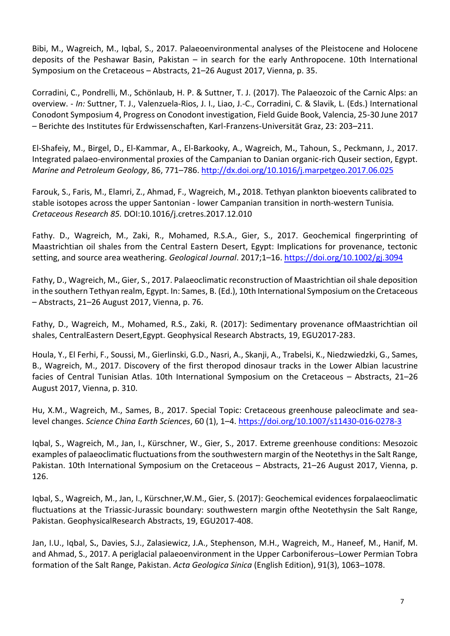Bibi, M., Wagreich, M., Iqbal, S., 2017. Palaeoenvironmental analyses of the Pleistocene and Holocene deposits of the Peshawar Basin, Pakistan – in search for the early Anthropocene. 10th International Symposium on the Cretaceous – Abstracts, 21–26 August 2017, Vienna, p. 35.

Corradini, C., Pondrelli, M., Schönlaub, H. P. & Suttner, T. J. (2017). The Palaeozoic of the Carnic Alps: an overview. - *In:* Suttner, T. J., Valenzuela-Rios, J. I., Liao, J.-C., Corradini, C. & Slavik, L. (Eds.) International Conodont Symposium 4, Progress on Conodont investigation, Field Guide Book, Valencia, 25-30 June 2017 – Berichte des Institutes für Erdwissenschaften, Karl-Franzens-Universität Graz, 23: 203–211.

El-Shafeiy, M., Birgel, D., El-Kammar, A., El-Barkooky, A., Wagreich, M**.**, Tahoun, S., Peckmann, J., 2017. Integrated palaeo-environmental proxies of the Campanian to Danian organic-rich Quseir section, Egypt. *Marine and Petroleum Geology*, 86, 771–786.<http://dx.doi.org/10.1016/j.marpetgeo.2017.06.025>

Farouk, S., Faris, M., Elamri, Z., Ahmad, F., Wagreich, M.**,** 2018. Tethyan plankton bioevents calibrated to stable isotopes across the upper Santonian - lower Campanian transition in north-western Tunisia*. Cretaceous Research 85.* DOI:10.1016/j.cretres.2017.12.010

Fathy. D., Wagreich, M., Zaki, R., Mohamed, R.S.A., Gier, S., 2017. Geochemical fingerprinting of Maastrichtian oil shales from the Central Eastern Desert, Egypt: Implications for provenance, tectonic setting, and source area weathering. *Geological Journal*. 2017;1–16.<https://doi.org/10.1002/gj.3094>

Fathy, D., Wagreich, M**.**, Gier, S., 2017. Palaeoclimatic reconstruction of Maastrichtian oil shale deposition in the southern Tethyan realm, Egypt. In: Sames, B. (Ed.), 10th International Symposium on the Cretaceous – Abstracts, 21–26 August 2017, Vienna, p. 76.

Fathy, D., Wagreich, M., Mohamed, R.S., Zaki, R. (2017): Sedimentary provenance ofMaastrichtian oil shales, CentralEastern Desert,Egypt. Geophysical Research Abstracts, 19, EGU2017-283.

Houla, Y., El Ferhi, F., Soussi, M., Gierlinski, G.D., Nasri, A., Skanji, A., Trabelsi, K., Niedzwiedzki, G., Sames, B., Wagreich, M., 2017. Discovery of the first theropod dinosaur tracks in the Lower Albian lacustrine facies of Central Tunisian Atlas. 10th International Symposium on the Cretaceous – Abstracts, 21–26 August 2017, Vienna, p. 310.

Hu, X.M., Wagreich, M., Sames, B., 2017. Special Topic: Cretaceous greenhouse paleoclimate and sealevel changes. *Science China Earth Sciences*, 60 (1), 1–4.<https://doi.org/10.1007/s11430-016-0278-3>

Iqbal, S., Wagreich, M., Jan, I., Kürschner, W., Gier, S., 2017. Extreme greenhouse conditions: Mesozoic examples of palaeoclimatic fluctuations from the southwestern margin of the Neotethys in the Salt Range, Pakistan. 10th International Symposium on the Cretaceous – Abstracts, 21–26 August 2017, Vienna, p. 126.

Iqbal, S., Wagreich, M., Jan, I., Kürschner,W.M., Gier, S. (2017): Geochemical evidences forpalaeoclimatic fluctuations at the Triassic-Jurassic boundary: southwestern margin ofthe Neotethysin the Salt Range, Pakistan. GeophysicalResearch Abstracts, 19, EGU2017-408.

Jan, I.U., Iqbal, S**.**, Davies, S.J., Zalasiewicz, J.A., Stephenson, M.H., Wagreich, M., Haneef, M., Hanif, M. and Ahmad, S., 2017. A periglacial palaeoenvironment in the Upper Carboniferous–Lower Permian Tobra formation of the Salt Range, Pakistan. *Acta Geologica Sinica* (English Edition), 91(3), 1063–1078.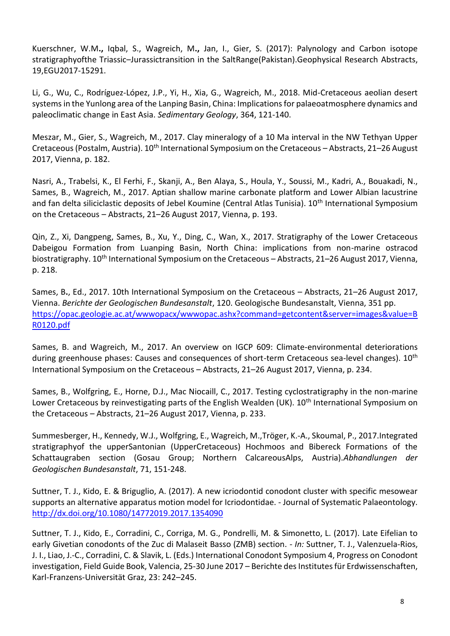Kuerschner, W.M**.,** Iqbal, S., Wagreich, M**.,** Jan, I., Gier, S. (2017): Palynology and Carbon isotope stratigraphyofthe Triassic–Jurassictransition in the SaltRange(Pakistan).Geophysical Research Abstracts, 19,EGU2017-15291.

Li, G., Wu, C., Rodríguez-López, J.P., Yi, H., Xia, G., Wagreich, M., 2018. Mid-Cretaceous aeolian desert systems in the Yunlong area of the Lanping Basin, China: Implications for palaeoatmosphere dynamics and paleoclimatic change in East Asia. *Sedimentary Geology*, 364, 121-140.

Meszar, M., Gier, S., Wagreich, M., 2017. Clay mineralogy of a 10 Ma interval in the NW Tethyan Upper Cretaceous (Postalm, Austria). 10<sup>th</sup> International Symposium on the Cretaceous - Abstracts, 21-26 August 2017, Vienna, p. 182.

Nasri, A., Trabelsi, K., El Ferhi, F., Skanji, A., Ben Alaya, S., Houla, Y., Soussi, M., Kadri, A., Bouakadi, N., Sames, B., Wagreich, M., 2017. Aptian shallow marine carbonate platform and Lower Albian lacustrine and fan delta siliciclastic deposits of Jebel Koumine (Central Atlas Tunisia). 10<sup>th</sup> International Symposium on the Cretaceous – Abstracts, 21–26 August 2017, Vienna, p. 193.

Qin, Z., Xi, Dangpeng, Sames, B., Xu, Y., Ding, C., Wan, X., 2017. Stratigraphy of the Lower Cretaceous Dabeigou Formation from Luanping Basin, North China: implications from non-marine ostracod biostratigraphy. 10<sup>th</sup> International Symposium on the Cretaceous - Abstracts, 21-26 August 2017, Vienna, p. 218.

Sames, B**.**, Ed., 2017. 10th International Symposium on the Cretaceous – Abstracts, 21–26 August 2017, Vienna. *Berichte der Geologischen Bundesanstalt*, 120. Geologische Bundesanstalt, Vienna, 351 pp. [https://opac.geologie.ac.at/wwwopacx/wwwopac.ashx?command=getcontent&server=images&value=B](https://opac.geologie.ac.at/wwwopacx/wwwopac.ashx?command=getcontent&server=images&value=BR0120.pdf) [R0120.pdf](https://opac.geologie.ac.at/wwwopacx/wwwopac.ashx?command=getcontent&server=images&value=BR0120.pdf)

Sames, B. and Wagreich, M., 2017. An overview on IGCP 609: Climate-environmental deteriorations during greenhouse phases: Causes and consequences of short-term Cretaceous sea-level changes). 10<sup>th</sup> International Symposium on the Cretaceous – Abstracts, 21–26 August 2017, Vienna, p. 234.

Sames, B., Wolfgring, E., Horne, D.J., Mac Niocaill, C., 2017. Testing cyclostratigraphy in the non-marine Lower Cretaceous by reinvestigating parts of the English Wealden (UK). 10<sup>th</sup> International Symposium on the Cretaceous – Abstracts, 21–26 August 2017, Vienna, p. 233.

Summesberger, H., Kennedy, W.J., Wolfgring, E., Wagreich, M.,Tröger, K.-A., Skoumal, P., 2017.Integrated stratigraphyof the upperSantonian (UpperCretaceous) Hochmoos and Bibereck Formations of the Schattaugraben section (Gosau Group; Northern CalcareousAlps, Austria).*Abhandlungen der Geologischen Bundesanstalt*, 71, 151-248.

Suttner, T. J., Kido, E. & Briguglio, A. (2017). A new icriodontid conodont cluster with specific mesowear supports an alternative apparatus motion model for Icriodontidae. - Journal of Systematic Palaeontology. <http://dx.doi.org/10.1080/14772019.2017.1354090>

Suttner, T. J., Kido, E., Corradini, C., Corriga, M. G., Pondrelli, M. & Simonetto, L. (2017). Late Eifelian to early Givetian conodonts of the Zuc di Malaseit Basso (ZMB) section. - *In:* Suttner, T. J., Valenzuela-Rios, J. I., Liao, J.-C., Corradini, C. & Slavik, L. (Eds.) International Conodont Symposium 4, Progress on Conodont investigation, Field Guide Book, Valencia, 25-30 June 2017 – Berichte des Institutes für Erdwissenschaften, Karl-Franzens-Universität Graz, 23: 242–245.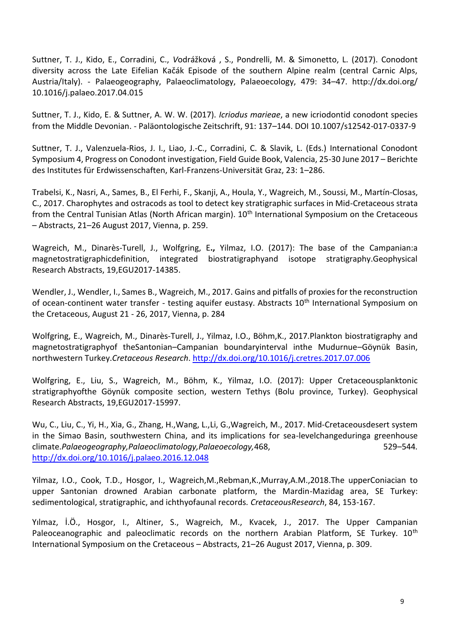Suttner, T. J., Kido, E., Corradini, C., *V*odrážková , S., Pondrelli, M. & Simonetto, L. (2017). Conodont diversity across the Late Eifelian Kačák Episode of the southern Alpine realm (central Carnic Alps, Austria/Italy). - Palaeogeography, Palaeoclimatology, Palaeoecology, 479: 34–47. http://dx.doi.org/ 10.1016/j.palaeo.2017.04.015

Suttner, T. J., Kido, E. & Suttner, A. W. W. (2017). *Icriodus marieae*, a new icriodontid conodont species from the Middle Devonian. - Paläontologische Zeitschrift, 91: 137–144. DOI 10.1007/s12542-017-0337-9

Suttner, T. J., Valenzuela-Rios, J. I., Liao, J.-C., Corradini, C. & Slavik, L. (Eds.) International Conodont Symposium 4, Progress on Conodont investigation, Field Guide Book, Valencia, 25-30 June 2017 – Berichte des Institutes für Erdwissenschaften, Karl-Franzens-Universität Graz, 23: 1–286.

Trabelsi, K., Nasri, A., Sames, B., El Ferhi, F., Skanji, A., Houla, Y., Wagreich, M., Soussi, M., Martín-Closas, C., 2017. Charophytes and ostracods as tool to detect key stratigraphic surfaces in Mid-Cretaceous strata from the Central Tunisian Atlas (North African margin). 10<sup>th</sup> International Symposium on the Cretaceous – Abstracts, 21–26 August 2017, Vienna, p. 259.

Wagreich, M., Dinarès-Turell, J., Wolfgring, E**.,** Yilmaz, I.O. (2017): The base of the Campanian:a magnetostratigraphicdefinition, integrated biostratigraphyand isotope stratigraphy.Geophysical Research Abstracts, 19,EGU2017-14385.

Wendler, J., Wendler, I., Sames B., Wagreich, M., 2017. Gains and pitfalls of proxies for the reconstruction of ocean-continent water transfer - testing aquifer eustasy. Abstracts 10<sup>th</sup> International Symposium on the Cretaceous, August 21 - 26, 2017, Vienna, p. 284

Wolfgring, E., Wagreich, M., Dinarès-Turell, J., Yilmaz, I.O., Böhm,K., 2017.Plankton biostratigraphy and magnetostratigraphyof theSantonian–Campanian boundaryinterval inthe Mudurnue–Göynük Basin, northwestern Turkey.*Cretaceous Research*.<http://dx.doi.org/10.1016/j.cretres.2017.07.006>

Wolfgring, E., Liu, S., Wagreich, M., Böhm, K., Yilmaz, I.O. (2017): Upper Cretaceousplanktonic stratigraphyofthe Göynük composite section, western Tethys (Bolu province, Turkey). Geophysical Research Abstracts, 19,EGU2017-15997.

Wu, C., Liu, C., Yi, H., Xia, G., Zhang, H.,Wang, L.,Li, G.,Wagreich, M., 2017. Mid-Cretaceousdesert system in the Simao Basin, southwestern China, and its implications for sea-levelchangeduringa greenhouse climate.*Palaeogeography,Palaeoclimatology,Palaeoecology,*468, 529–544*.*  <http://dx.doi.org/10.1016/j.palaeo.2016.12.048>

Yilmaz, I.O., Cook, T.D., Hosgor, I., Wagreich,M.,Rebman,K.,Murray,A.M.,2018.The upperConiacian to upper Santonian drowned Arabian carbonate platform, the Mardin-Mazidag area, SE Turkey: sedimentological, stratigraphic, and ichthyofaunal records*. CretaceousResearch*, 84, 153-167.

Yılmaz, İ.Ö., Hosgor, I., Altiner, S., Wagreich, M., Kvacek, J., 2017. The Upper Campanian Paleoceanographic and paleoclimatic records on the northern Arabian Platform, SE Turkey. 10<sup>th</sup> International Symposium on the Cretaceous – Abstracts, 21–26 August 2017, Vienna, p. 309.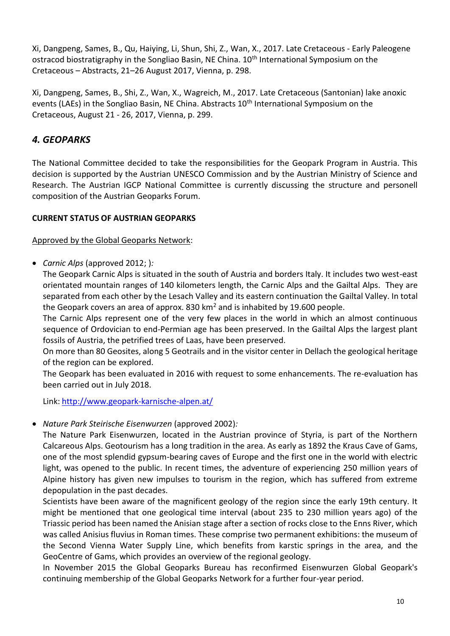Xi, Dangpeng, Sames, B., Qu, Haiying, Li, Shun, Shi, Z., Wan, X., 2017. Late Cretaceous - Early Paleogene ostracod biostratigraphy in the Songliao Basin, NE China. 10<sup>th</sup> International Symposium on the Cretaceous – Abstracts, 21–26 August 2017, Vienna, p. 298.

Xi, Dangpeng, Sames, B., Shi, Z., Wan, X., Wagreich, M., 2017. Late Cretaceous (Santonian) lake anoxic events (LAEs) in the Songliao Basin, NE China. Abstracts 10<sup>th</sup> International Symposium on the Cretaceous, August 21 - 26, 2017, Vienna, p. 299.

# *4. GEOPARKS*

The National Committee decided to take the responsibilities for the Geopark Program in Austria. This decision is supported by the Austrian UNESCO Commission and by the Austrian Ministry of Science and Research. The Austrian IGCP National Committee is currently discussing the structure and personell composition of the Austrian Geoparks Forum.

#### **CURRENT STATUS OF AUSTRIAN GEOPARKS**

#### Approved by the Global Geoparks Network:

*Carnic Alps* (approved 2012; )*:*

The Geopark Carnic Alps is situated in the south of Austria and borders Italy. It includes two west-east orientated mountain ranges of 140 kilometers length, the Carnic Alps and the Gailtal Alps. They are separated from each other by the Lesach Valley and its eastern continuation the Gailtal Valley. In total the Geopark covers an area of approx. 830  $km<sup>2</sup>$  and is inhabited by 19.600 people.

The Carnic Alps represent one of the very few places in the world in which an almost continuous sequence of Ordovician to end-Permian age has been preserved. In the Gailtal Alps the largest plant fossils of Austria, the petrified trees of Laas, have been preserved.

On more than 80 Geosites, along 5 Geotrails and in the visitor center in Dellach the geological heritage of the region can be explored.

The Geopark has been evaluated in 2016 with request to some enhancements. The re-evaluation has been carried out in July 2018.

Link: <http://www.geopark-karnische-alpen.at/>

#### *Nature Park Steirische Eisenwurzen* (approved 2002)*:*

The Nature Park Eisenwurzen, located in the Austrian province of Styria, is part of the Northern Calcareous Alps. Geotourism has a long tradition in the area. As early as 1892 the Kraus Cave of Gams, one of the most splendid gypsum-bearing caves of Europe and the first one in the world with electric light, was opened to the public. In recent times, the adventure of experiencing 250 million years of Alpine history has given new impulses to tourism in the region, which has suffered from extreme depopulation in the past decades.

Scientists have been aware of the magnificent geology of the region since the early 19th century. It might be mentioned that one geological time interval (about 235 to 230 million years ago) of the Triassic period has been named the Anisian stage after a section of rocks close to the Enns River, which was called Anisius fluvius in Roman times. These comprise two permanent exhibitions: the museum of the Second Vienna Water Supply Line, which benefits from karstic springs in the area, and the GeoCentre of Gams, which provides an overview of the regional geology.

In November 2015 the Global Geoparks Bureau has reconfirmed Eisenwurzen Global Geopark's continuing membership of the Global Geoparks Network for a further four-year period.